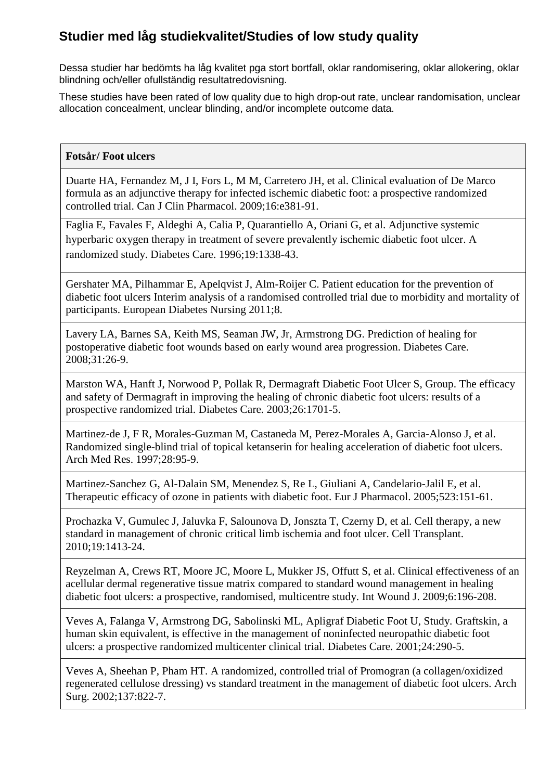Dessa studier har bedömts ha låg kvalitet pga stort bortfall, oklar randomisering, oklar allokering, oklar blindning och/eller ofullständig resultatredovisning.

These studies have been rated of low quality due to high drop-out rate, unclear randomisation, unclear allocation concealment, unclear blinding, and/or incomplete outcome data.

#### **Fotsår/ Foot ulcers**

Duarte HA, Fernandez M, J I, Fors L, M M, Carretero JH, et al. Clinical evaluation of De Marco formula as an adjunctive therapy for infected ischemic diabetic foot: a prospective randomized controlled trial. Can J Clin Pharmacol. 2009;16:e381-91.

Faglia E, Favales F, Aldeghi A, Calia P, Quarantiello A, Oriani G, et al. Adjunctive systemic hyperbaric oxygen therapy in treatment of severe prevalently ischemic diabetic foot ulcer. A randomized study. Diabetes Care. 1996;19:1338-43.

Gershater MA, Pilhammar E, Apelqvist J, Alm-Roijer C. Patient education for the prevention of diabetic foot ulcers Interim analysis of a randomised controlled trial due to morbidity and mortality of participants. European Diabetes Nursing 2011;8.

Lavery LA, Barnes SA, Keith MS, Seaman JW, Jr, Armstrong DG. Prediction of healing for postoperative diabetic foot wounds based on early wound area progression. Diabetes Care. 2008;31:26-9.

Marston WA, Hanft J, Norwood P, Pollak R, Dermagraft Diabetic Foot Ulcer S, Group. The efficacy and safety of Dermagraft in improving the healing of chronic diabetic foot ulcers: results of a prospective randomized trial. Diabetes Care. 2003;26:1701-5.

Martinez-de J, F R, Morales-Guzman M, Castaneda M, Perez-Morales A, Garcia-Alonso J, et al. Randomized single-blind trial of topical ketanserin for healing acceleration of diabetic foot ulcers. Arch Med Res. 1997;28:95-9.

Martinez-Sanchez G, Al-Dalain SM, Menendez S, Re L, Giuliani A, Candelario-Jalil E, et al. Therapeutic efficacy of ozone in patients with diabetic foot. Eur J Pharmacol. 2005;523:151-61.

Prochazka V, Gumulec J, Jaluvka F, Salounova D, Jonszta T, Czerny D, et al. Cell therapy, a new standard in management of chronic critical limb ischemia and foot ulcer. Cell Transplant. 2010;19:1413-24.

Reyzelman A, Crews RT, Moore JC, Moore L, Mukker JS, Offutt S, et al. Clinical effectiveness of an acellular dermal regenerative tissue matrix compared to standard wound management in healing diabetic foot ulcers: a prospective, randomised, multicentre study. Int Wound J. 2009;6:196-208.

Veves A, Falanga V, Armstrong DG, Sabolinski ML, Apligraf Diabetic Foot U, Study. Graftskin, a human skin equivalent, is effective in the management of noninfected neuropathic diabetic foot ulcers: a prospective randomized multicenter clinical trial. Diabetes Care. 2001;24:290-5.

Veves A, Sheehan P, Pham HT. A randomized, controlled trial of Promogran (a collagen/oxidized regenerated cellulose dressing) vs standard treatment in the management of diabetic foot ulcers. Arch Surg. 2002;137:822-7.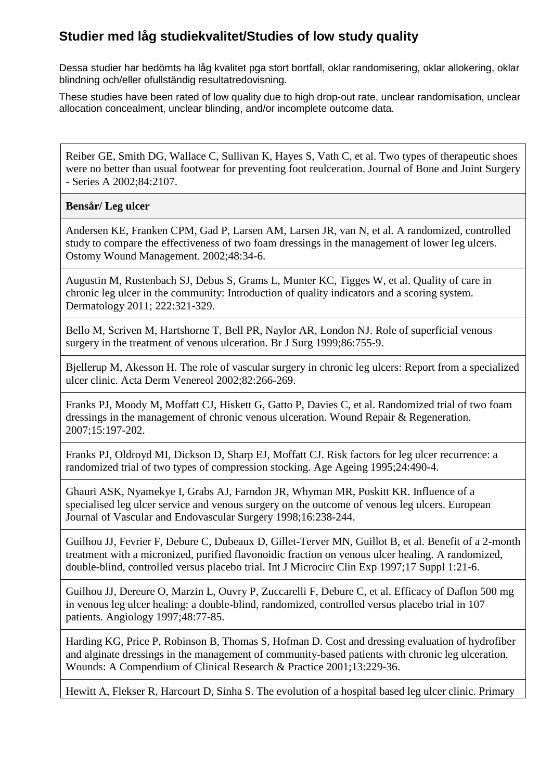Dessa studier har bedömts ha låg kvalitet pga stort bortfall, oklar randomisering, oklar allokering, oklar blindning och/eller ofullständig resultatredovisning.

These studies have been rated of low quality due to high drop-out rate, unclear randomisation, unclear allocation concealment, unclear blinding, and/or incomplete outcome data.

Reiber GE, Smith DG, Wallace C, Sullivan K, Hayes S, Vath C, et al. Two types of therapeutic shoes were no better than usual footwear for preventing foot reulceration. Journal of Bone and Joint Surgery - Series A 2002;84:2107.

#### **Bensår/ Leg ulcer**

Andersen KE, Franken CPM, Gad P, Larsen AM, Larsen JR, van N, et al. A randomized, controlled study to compare the effectiveness of two foam dressings in the management of lower leg ulcers. Ostomy Wound Management. 2002;48:34-6.

Augustin M, Rustenbach SJ, Debus S, Grams L, Munter KC, Tigges W, et al. Quality of care in chronic leg ulcer in the community: Introduction of quality indicators and a scoring system. Dermatology 2011; 222:321-329.

Bello M, Scriven M, Hartshorne T, Bell PR, Naylor AR, London NJ. Role of superficial venous surgery in the treatment of venous ulceration. Br J Surg 1999;86:755-9.

Bjellerup M, Akesson H. The role of vascular surgery in chronic leg ulcers: Report from a specialized ulcer clinic. Acta Derm Venereol 2002;82:266-269.

Franks PJ, Moody M, Moffatt CJ, Hiskett G, Gatto P, Davies C, et al. Randomized trial of two foam dressings in the management of chronic venous ulceration. Wound Repair & Regeneration. 2007;15:197-202.

Franks PJ, Oldroyd MI, Dickson D, Sharp EJ, Moffatt CJ. Risk factors for leg ulcer recurrence: a randomized trial of two types of compression stocking. Age Ageing 1995;24:490-4.

Ghauri ASK, Nyamekye I, Grabs AJ, Farndon JR, Whyman MR, Poskitt KR. Influence of a specialised leg ulcer service and venous surgery on the outcome of venous leg ulcers. European Journal of Vascular and Endovascular Surgery 1998;16:238-244.

Guilhou JJ, Fevrier F, Debure C, Dubeaux D, Gillet-Terver MN, Guillot B, et al. Benefit of a 2-month treatment with a micronized, purified flavonoidic fraction on venous ulcer healing. A randomized, double-blind, controlled versus placebo trial. Int J Microcirc Clin Exp 1997;17 Suppl 1:21-6.

Guilhou JJ, Dereure O, Marzin L, Ouvry P, Zuccarelli F, Debure C, et al. Efficacy of Daflon 500 mg in venous leg ulcer healing: a double-blind, randomized, controlled versus placebo trial in 107 patients. Angiology 1997;48:77-85.

Harding KG, Price P, Robinson B, Thomas S, Hofman D. Cost and dressing evaluation of hydrofiber and alginate dressings in the management of community-based patients with chronic leg ulceration. Wounds: A Compendium of Clinical Research & Practice 2001;13:229-36.

Hewitt A, Flekser R, Harcourt D, Sinha S. The evolution of a hospital based leg ulcer clinic. Primary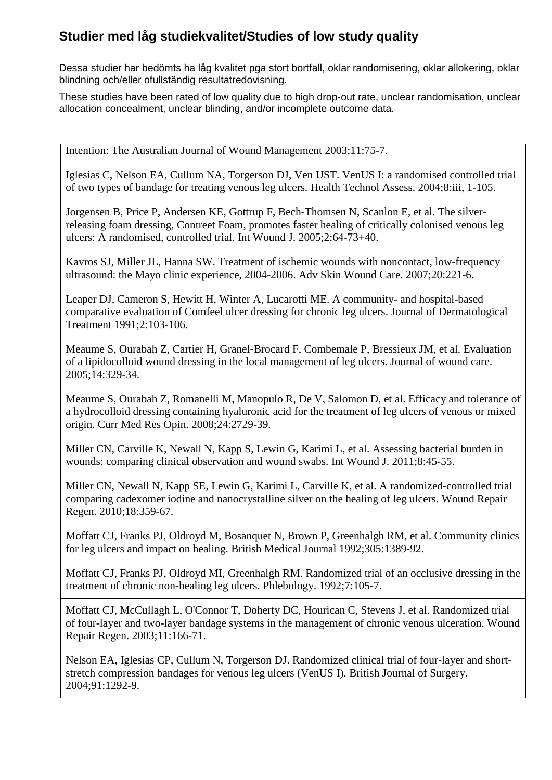Dessa studier har bedömts ha låg kvalitet pga stort bortfall, oklar randomisering, oklar allokering, oklar blindning och/eller ofullständig resultatredovisning.

These studies have been rated of low quality due to high drop-out rate, unclear randomisation, unclear allocation concealment, unclear blinding, and/or incomplete outcome data.

Intention: The Australian Journal of Wound Management 2003;11:75-7.

Iglesias C, Nelson EA, Cullum NA, Torgerson DJ, Ven UST. VenUS I: a randomised controlled trial of two types of bandage for treating venous leg ulcers. Health Technol Assess. 2004;8:iii, 1-105.

Jorgensen B, Price P, Andersen KE, Gottrup F, Bech-Thomsen N, Scanlon E, et al. The silverreleasing foam dressing, Contreet Foam, promotes faster healing of critically colonised venous leg ulcers: A randomised, controlled trial. Int Wound J. 2005;2:64-73+40.

Kavros SJ, Miller JL, Hanna SW. Treatment of ischemic wounds with noncontact, low-frequency ultrasound: the Mayo clinic experience, 2004-2006. Adv Skin Wound Care. 2007;20:221-6.

Leaper DJ, Cameron S, Hewitt H, Winter A, Lucarotti ME. A community- and hospital-based comparative evaluation of Comfeel ulcer dressing for chronic leg ulcers. Journal of Dermatological Treatment 1991;2:103-106.

Meaume S, Ourabah Z, Cartier H, Granel-Brocard F, Combemale P, Bressieux JM, et al. Evaluation of a lipidocolloid wound dressing in the local management of leg ulcers. Journal of wound care. 2005;14:329-34.

Meaume S, Ourabah Z, Romanelli M, Manopulo R, De V, Salomon D, et al. Efficacy and tolerance of a hydrocolloid dressing containing hyaluronic acid for the treatment of leg ulcers of venous or mixed origin. Curr Med Res Opin. 2008;24:2729-39.

Miller CN, Carville K, Newall N, Kapp S, Lewin G, Karimi L, et al. Assessing bacterial burden in wounds: comparing clinical observation and wound swabs. Int Wound J. 2011;8:45-55.

Miller CN, Newall N, Kapp SE, Lewin G, Karimi L, Carville K, et al. A randomized-controlled trial comparing cadexomer iodine and nanocrystalline silver on the healing of leg ulcers. Wound Repair Regen. 2010;18:359-67.

Moffatt CJ, Franks PJ, Oldroyd M, Bosanquet N, Brown P, Greenhalgh RM, et al. Community clinics for leg ulcers and impact on healing. British Medical Journal 1992;305:1389-92.

Moffatt CJ, Franks PJ, Oldroyd MI, Greenhalgh RM. Randomized trial of an occlusive dressing in the treatment of chronic non-healing leg ulcers. Phlebology. 1992;7:105-7.

Moffatt CJ, McCullagh L, O'Connor T, Doherty DC, Hourican C, Stevens J, et al. Randomized trial of four-layer and two-layer bandage systems in the management of chronic venous ulceration. Wound Repair Regen. 2003;11:166-71.

Nelson EA, Iglesias CP, Cullum N, Torgerson DJ. Randomized clinical trial of four-layer and shortstretch compression bandages for venous leg ulcers (VenUS I). British Journal of Surgery. 2004;91:1292-9.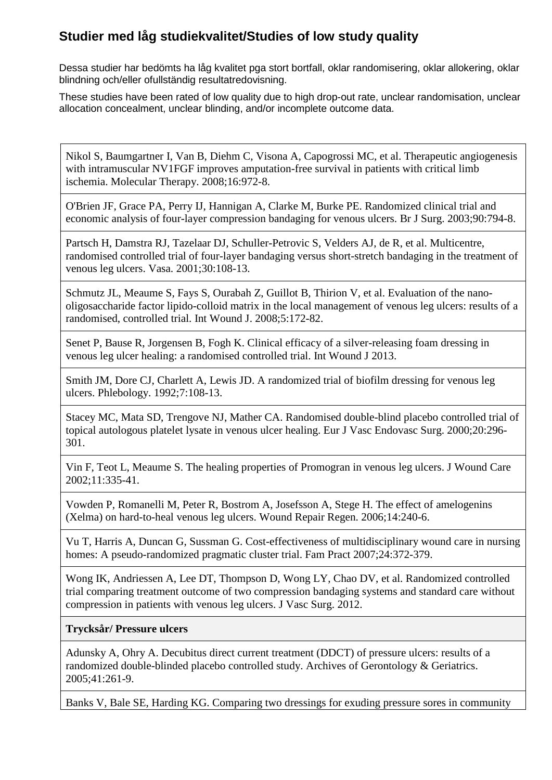Dessa studier har bedömts ha låg kvalitet pga stort bortfall, oklar randomisering, oklar allokering, oklar blindning och/eller ofullständig resultatredovisning.

These studies have been rated of low quality due to high drop-out rate, unclear randomisation, unclear allocation concealment, unclear blinding, and/or incomplete outcome data.

Nikol S, Baumgartner I, Van B, Diehm C, Visona A, Capogrossi MC, et al. Therapeutic angiogenesis with intramuscular NV1FGF improves amputation-free survival in patients with critical limb ischemia. Molecular Therapy. 2008;16:972-8.

O'Brien JF, Grace PA, Perry IJ, Hannigan A, Clarke M, Burke PE. Randomized clinical trial and economic analysis of four-layer compression bandaging for venous ulcers. Br J Surg. 2003;90:794-8.

Partsch H, Damstra RJ, Tazelaar DJ, Schuller-Petrovic S, Velders AJ, de R, et al. Multicentre, randomised controlled trial of four-layer bandaging versus short-stretch bandaging in the treatment of venous leg ulcers. Vasa. 2001;30:108-13.

Schmutz JL, Meaume S, Fays S, Ourabah Z, Guillot B, Thirion V, et al. Evaluation of the nanooligosaccharide factor lipido-colloid matrix in the local management of venous leg ulcers: results of a randomised, controlled trial. Int Wound J. 2008;5:172-82.

Senet P, Bause R, Jorgensen B, Fogh K. Clinical efficacy of a silver-releasing foam dressing in venous leg ulcer healing: a randomised controlled trial. Int Wound J 2013.

Smith JM, Dore CJ, Charlett A, Lewis JD. A randomized trial of biofilm dressing for venous leg ulcers. Phlebology. 1992;7:108-13.

Stacey MC, Mata SD, Trengove NJ, Mather CA. Randomised double-blind placebo controlled trial of topical autologous platelet lysate in venous ulcer healing. Eur J Vasc Endovasc Surg. 2000;20:296- 301.

Vin F, Teot L, Meaume S. The healing properties of Promogran in venous leg ulcers. J Wound Care 2002;11:335-41.

Vowden P, Romanelli M, Peter R, Bostrom A, Josefsson A, Stege H. The effect of amelogenins (Xelma) on hard-to-heal venous leg ulcers. Wound Repair Regen. 2006;14:240-6.

Vu T, Harris A, Duncan G, Sussman G. Cost-effectiveness of multidisciplinary wound care in nursing homes: A pseudo-randomized pragmatic cluster trial. Fam Pract 2007;24:372-379.

Wong IK, Andriessen A, Lee DT, Thompson D, Wong LY, Chao DV, et al. Randomized controlled trial comparing treatment outcome of two compression bandaging systems and standard care without compression in patients with venous leg ulcers. J Vasc Surg. 2012.

#### **Trycksår/ Pressure ulcers**

Adunsky A, Ohry A. Decubitus direct current treatment (DDCT) of pressure ulcers: results of a randomized double-blinded placebo controlled study. Archives of Gerontology & Geriatrics. 2005;41:261-9.

Banks V, Bale SE, Harding KG. Comparing two dressings for exuding pressure sores in community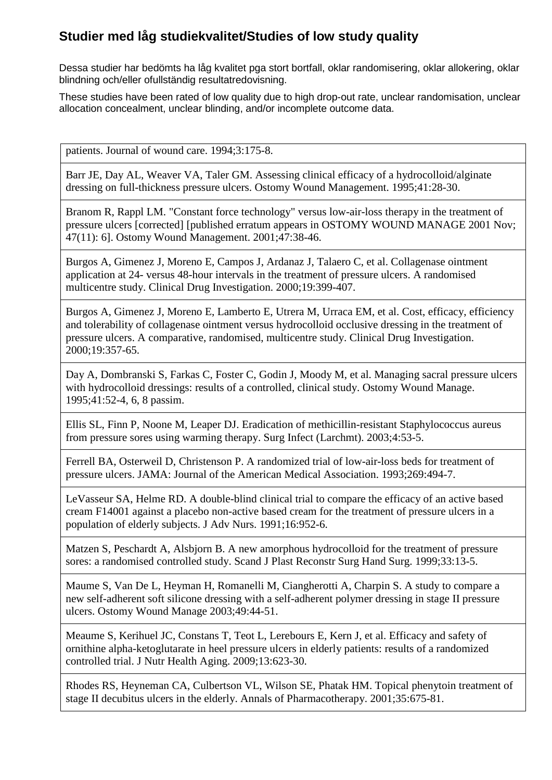Dessa studier har bedömts ha låg kvalitet pga stort bortfall, oklar randomisering, oklar allokering, oklar blindning och/eller ofullständig resultatredovisning.

These studies have been rated of low quality due to high drop-out rate, unclear randomisation, unclear allocation concealment, unclear blinding, and/or incomplete outcome data.

patients. Journal of wound care. 1994;3:175-8.

Barr JE, Day AL, Weaver VA, Taler GM. Assessing clinical efficacy of a hydrocolloid/alginate dressing on full-thickness pressure ulcers. Ostomy Wound Management. 1995;41:28-30.

Branom R, Rappl LM. "Constant force technology" versus low-air-loss therapy in the treatment of pressure ulcers [corrected] [published erratum appears in OSTOMY WOUND MANAGE 2001 Nov; 47(11): 6]. Ostomy Wound Management. 2001;47:38-46.

Burgos A, Gimenez J, Moreno E, Campos J, Ardanaz J, Talaero C, et al. Collagenase ointment application at 24- versus 48-hour intervals in the treatment of pressure ulcers. A randomised multicentre study. Clinical Drug Investigation. 2000;19:399-407.

Burgos A, Gimenez J, Moreno E, Lamberto E, Utrera M, Urraca EM, et al. Cost, efficacy, efficiency and tolerability of collagenase ointment versus hydrocolloid occlusive dressing in the treatment of pressure ulcers. A comparative, randomised, multicentre study. Clinical Drug Investigation. 2000;19:357-65.

Day A, Dombranski S, Farkas C, Foster C, Godin J, Moody M, et al. Managing sacral pressure ulcers with hydrocolloid dressings: results of a controlled, clinical study. Ostomy Wound Manage. 1995;41:52-4, 6, 8 passim.

Ellis SL, Finn P, Noone M, Leaper DJ. Eradication of methicillin-resistant Staphylococcus aureus from pressure sores using warming therapy. Surg Infect (Larchmt). 2003;4:53-5.

Ferrell BA, Osterweil D, Christenson P. A randomized trial of low-air-loss beds for treatment of pressure ulcers. JAMA: Journal of the American Medical Association. 1993;269:494-7.

LeVasseur SA, Helme RD. A double-blind clinical trial to compare the efficacy of an active based cream F14001 against a placebo non-active based cream for the treatment of pressure ulcers in a population of elderly subjects. J Adv Nurs. 1991;16:952-6.

Matzen S, Peschardt A, Alsbjorn B. A new amorphous hydrocolloid for the treatment of pressure sores: a randomised controlled study. Scand J Plast Reconstr Surg Hand Surg. 1999;33:13-5.

Maume S, Van De L, Heyman H, Romanelli M, Ciangherotti A, Charpin S. A study to compare a new self-adherent soft silicone dressing with a self-adherent polymer dressing in stage II pressure ulcers. Ostomy Wound Manage 2003;49:44-51.

Meaume S, Kerihuel JC, Constans T, Teot L, Lerebours E, Kern J, et al. Efficacy and safety of ornithine alpha-ketoglutarate in heel pressure ulcers in elderly patients: results of a randomized controlled trial. J Nutr Health Aging. 2009;13:623-30.

Rhodes RS, Heyneman CA, Culbertson VL, Wilson SE, Phatak HM. Topical phenytoin treatment of stage II decubitus ulcers in the elderly. Annals of Pharmacotherapy. 2001;35:675-81.